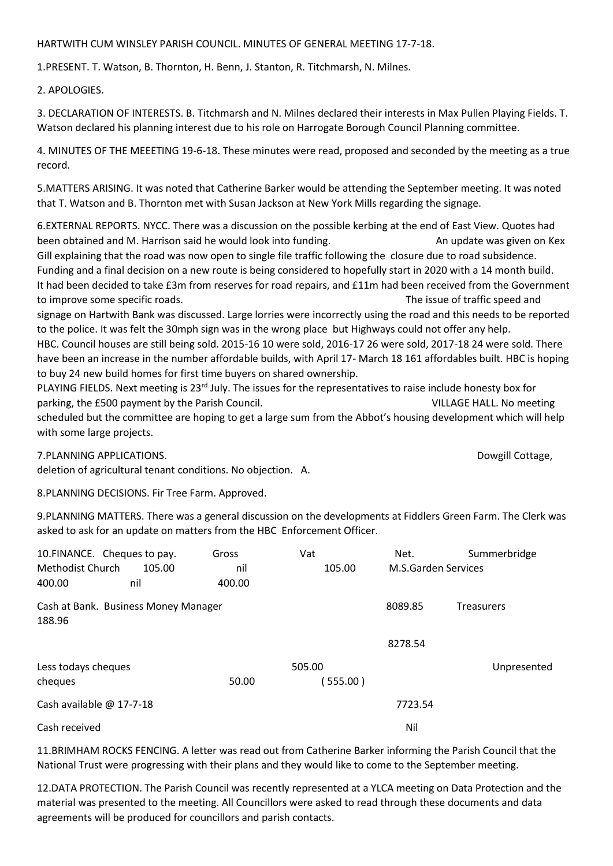## HARTWITH CUM WINSLEY PARISH COUNCIL. MINUTES OF GENERAL MEETING 17-7-18.

1.PRESENT. T. Watson, B. Thornton, H. Benn, J. Stanton, R. Titchmarsh, N. Milnes.

2. APOLOGIES.

3. DECLARATION OF INTERESTS. B. Titchmarsh and N. Milnes declared their interests in Max Pullen Playing Fields. T. Watson declared his planning interest due to his role on Harrogate Borough Council Planning committee.

4. MINUTES OF THE MEEETING 19-6-18. These minutes were read, proposed and seconded by the meeting as a true record.

5.MATTERS ARISING. It was noted that Catherine Barker would be attending the September meeting. It was noted that T. Watson and B. Thornton met with Susan Jackson at New York Mills regarding the signage.

6.EXTERNAL REPORTS. NYCC. There was a discussion on the possible kerbing at the end of East View. Quotes had been obtained and M. Harrison said he would look into funding. An update was given on Kex Gill explaining that the road was now open to single file traffic following the closure due to road subsidence. Funding and a final decision on a new route is being considered to hopefully start in 2020 with a 14 month build. It had been decided to take £3m from reserves for road repairs, and £11m had been received from the Government to improve some specific roads. The issue of traffic speed and

signage on Hartwith Bank was discussed. Large lorries were incorrectly using the road and this needs to be reported to the police. It was felt the 30mph sign was in the wrong place but Highways could not offer any help.

HBC. Council houses are still being sold. 2015-16 10 were sold, 2016-17 26 were sold, 2017-18 24 were sold. There have been an increase in the number affordable builds, with April 17- March 18 161 affordables built. HBC is hoping to buy 24 new build homes for first time buyers on shared ownership.

PLAYING FIELDS. Next meeting is 23<sup>rd</sup> July. The issues for the representatives to raise include honesty box for parking, the £500 payment by the Parish Council. VILLAGE HALL. No meeting scheduled but the committee are hoping to get a large sum from the Abbot's housing development which will help

with some large projects.

7.PLANNING APPLICATIONS. Dowgill Cottage,

deletion of agricultural tenant conditions. No objection. A.

8.PLANNING DECISIONS. Fir Tree Farm. Approved.

9.PLANNING MATTERS. There was a general discussion on the developments at Fiddlers Green Farm. The Clerk was asked to ask for an update on matters from the HBC Enforcement Officer.

|                                                | 10. FINANCE. Cheques to pay. | Gross  | Vat      | Net.                | Summerbridge      |
|------------------------------------------------|------------------------------|--------|----------|---------------------|-------------------|
| Methodist Church<br>105.00                     |                              | nil    | 105.00   | M.S.Garden Services |                   |
| 400.00                                         | nil                          | 400.00 |          |                     |                   |
| Cash at Bank. Business Money Manager<br>188.96 |                              |        |          | 8089.85             | <b>Treasurers</b> |
|                                                |                              |        |          | 8278.54             |                   |
| Less todays cheques                            |                              |        | 505.00   |                     | Unpresented       |
| cheques                                        |                              | 50.00  | (555.00) |                     |                   |
| Cash available @ 17-7-18                       |                              |        |          | 7723.54             |                   |
| Cash received                                  |                              |        |          | Nil                 |                   |

11.BRIMHAM ROCKS FENCING. A letter was read out from Catherine Barker informing the Parish Council that the National Trust were progressing with their plans and they would like to come to the September meeting.

12.DATA PROTECTION. The Parish Council was recently represented at a YLCA meeting on Data Protection and the material was presented to the meeting. All Councillors were asked to read through these documents and data agreements will be produced for councillors and parish contacts.